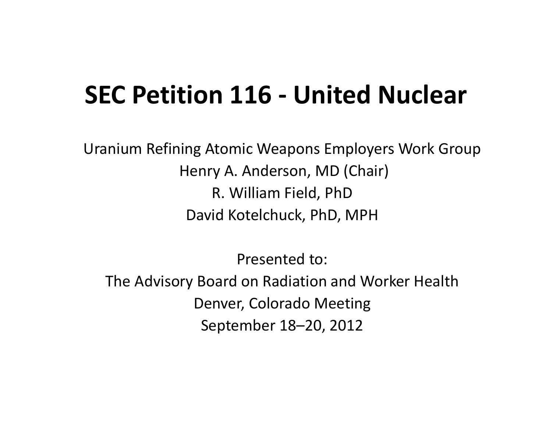#### **SEC Petition 116 ‐ United Nuclear**

Uranium Refining Atomic Weapons Employers Work Group Henry A. Anderson, MD (Chair) R. William Field, PhD David Kotelchuck, PhD, MPH

Presented to:

The Advisory Board on Radiation and Worker Health Denver, Colorado Meeting September 18–20, 2012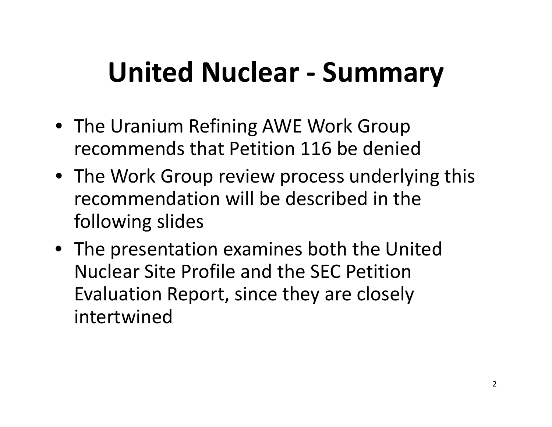## **United Nuclear ‐ Summary**

- The Uranium Refining AWE Work Group recommends that Petition 116 be denied
- The Work Group review process underlying this recommendation will be described in the following slides
- The presentation examines both the United Nuclear Site Profile and the SEC Petition Evaluation Report, since they are closely intertwined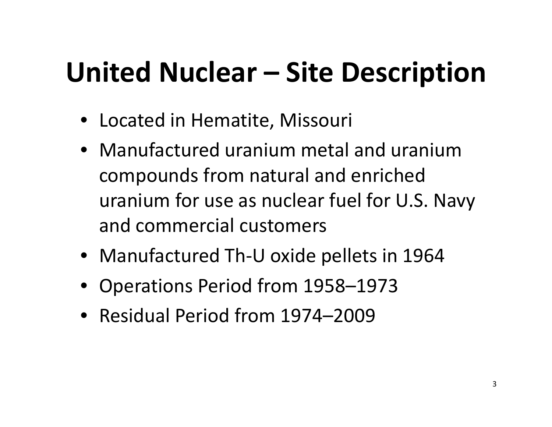# **United Nuclear – Site Description**

- Located in Hematite, Missouri
- Manufactured uranium metal and uranium compounds from natural and enriched uranium for use as nuclear fuel for U.S. Navy and commercial customers
- Manufactured Th‐U oxide pellets in 1964
- Operations Period from 1958–1973
- Residual Period from 1974–2009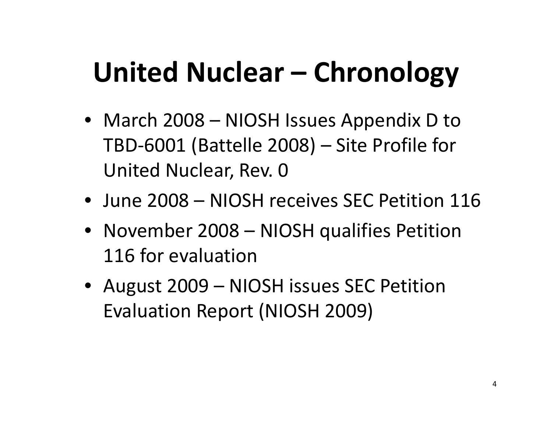# **United Nuclear – Chronology**

- March 2008 NIOSH Issues Appendix D to TBD‐6001 (Battelle 2008) – Site Profile for United Nuclear, Rev. 0
- June 2008 NIOSH receives SEC Petition 116
- November 2008 NIOSH qualifies Petition 116 for evaluation
- August 2009 NIOSH issues SEC Petition Evaluation Report (NIOSH 2009)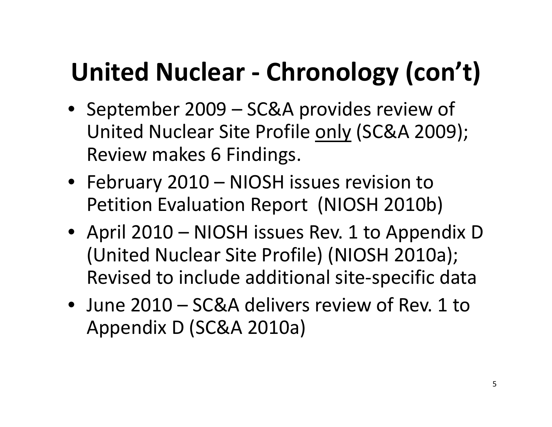### **United Nuclear ‐ Chronology (con't)**

- September 2009 SC&A provides review of United Nuclear Site Profile <u>only</u> (SC&A 2009); Review makes 6 Findings.
- February 2010 NIOSH issues revision to Petition Evaluation Report (NIOSH 2010b)
- April 2010 NIOSH issues Rev. 1 to Appendix D (United Nuclear Site Profile) (NIOSH 2010a); Revised to include additional site‐specific data
- June 2010 SC&A delivers review of Rev. 1 to Appendix D (SC&A 2010a)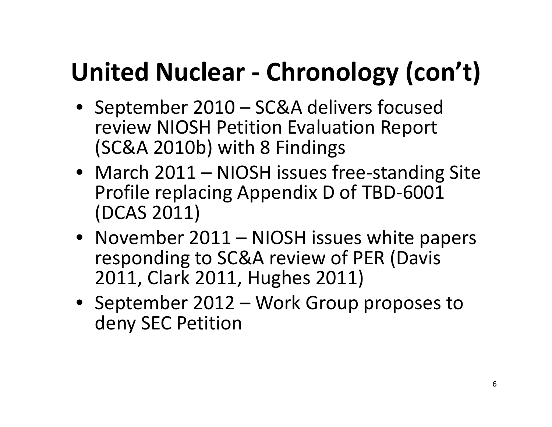### **United Nuclear ‐ Chronology (con't)**

- September 2010 SC&A delivers focused review NIOSH Petition Evaluation Report (SC&A 2010b) with 8 Findings
- March 2011 NIOSH issues free ‐standing Site Profile replacing Appendix D of TBD ‐6001 (DCAS 2011)
- November 2011 NIOSH issues white papers responding to SC&A review of PER (Davis 2011, Clark 2011, Hughes 2011)
- September 2012 Work Group proposes to deny SEC Petition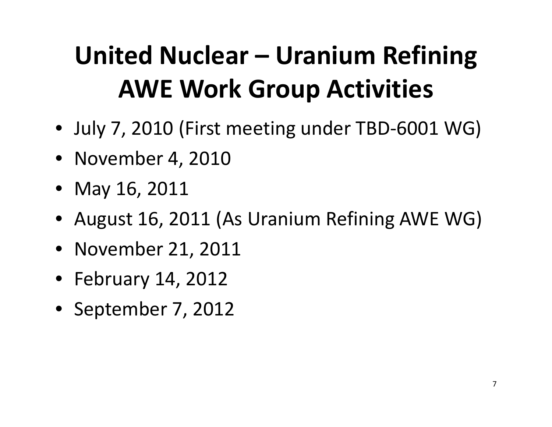### **United Nuclear – Uranium Refining AWE Work Group Activities**

- July 7, 2010 (First meeting under TBD‐6001 WG)
- November 4, 2010
- May 16, 2011
- August 16, 2011 (As Uranium Refining AWE WG)
- November 21, 2011
- February 14, 2012
- September 7, 2012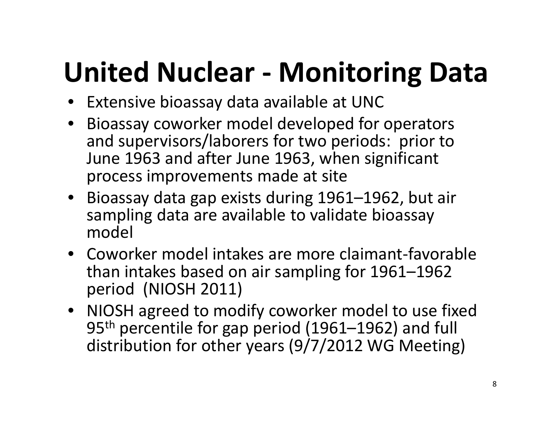# **United Nuclear ‐ Monitoring Data**

- Extensive bioassay data available at UNC
- Bioassay coworker model developed for operators and supervisors/laborers for two periods: prior to June 1963 and after June 1963, when significant process improvements made at site
- Bioassay data gap exists during 1961–1962, but air sampling data are available to validate bioassay model
- Coworker model intakes are more claimant-favorable than intakes based on air sampling for 1961–1962 period (NIOSH 2011)
- NIOSH agreed to modify coworker model to use fixed 95th percentile for gap period (1961–1962) and full distribution for other years (9/7/2012 WG Meeting)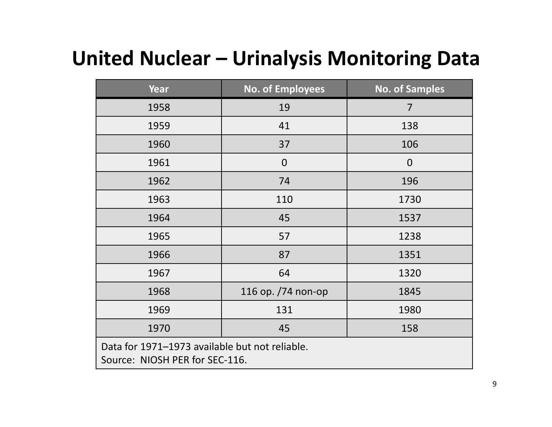#### **United Nuclear – Urinalysis Monitoring Data**

| <b>Year</b>                                                                      | <b>No. of Employees</b> | <b>No. of Samples</b> |
|----------------------------------------------------------------------------------|-------------------------|-----------------------|
| 1958                                                                             | 19                      | 7                     |
| 1959                                                                             | 41                      | 138                   |
| 1960                                                                             | 37                      | 106                   |
| 1961                                                                             | $\mathbf 0$             | $\mathbf 0$           |
| 1962                                                                             | 74                      | 196                   |
| 1963                                                                             | 110                     | 1730                  |
| 1964                                                                             | 45                      | 1537                  |
| 1965                                                                             | 57                      | 1238                  |
| 1966                                                                             | 87                      | 1351                  |
| 1967                                                                             | 64                      | 1320                  |
| 1968                                                                             | 116 op. /74 non-op      | 1845                  |
| 1969                                                                             | 131                     | 1980                  |
| 1970                                                                             | 45                      | 158                   |
| Data for 1971-1973 available but not reliable.<br>Source: NIOSH PER for SEC-116. |                         |                       |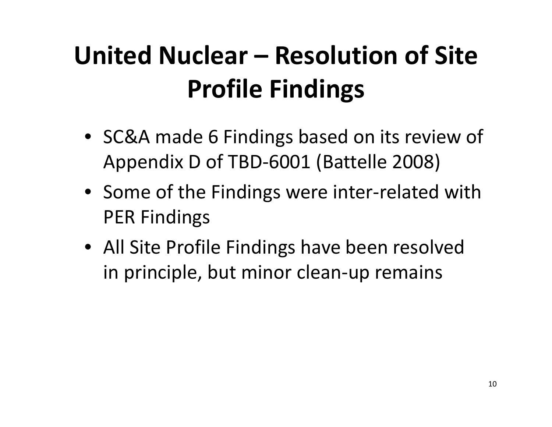- SC&A made 6 Findings based on its review of Appendix D of TBD‐6001 (Battelle 2008)
- Some of the Findings were inter‐related with PER Findings
- All Site Profile Findings have been resolved in principle, but minor clean‐up remains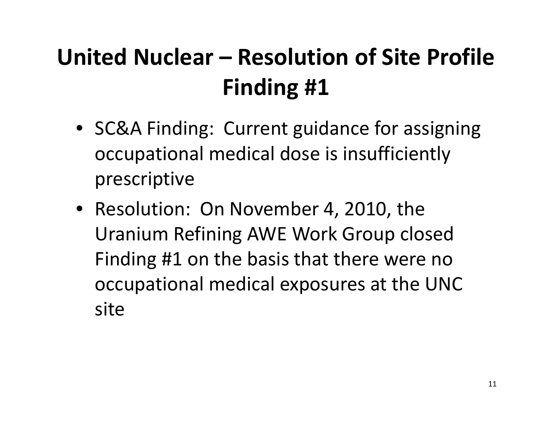- SC&A Finding: Current guidance for assigning occupational medical dose is insufficiently prescriptive
- Resolution: On November 4, 2010, the Uranium Refining AWE Work Group closed Finding #1 on the basis that there were no occupational medical exposures at the UNC site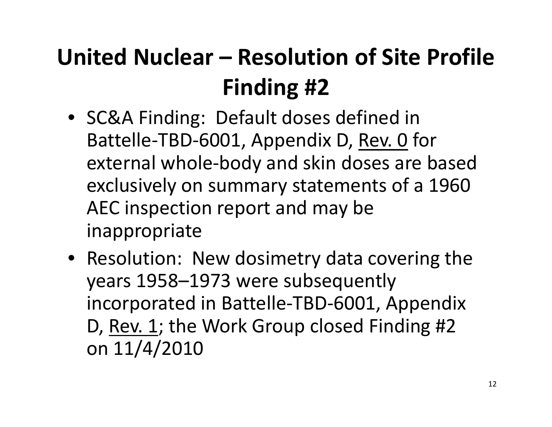- SC&A Finding: Default doses defined in Battelle‐TBD‐6001, Appendix D, Rev. 0 for external whole‐body and skin doses are based exclusively on summary statements of <sup>a</sup> 1960 AEC inspection report and may be inappropriate
- Resolution: New dosimetry data covering the years 1958–1973 were subsequently incorporated in Battelle‐TBD‐6001, Appendix D, Rev. 1; the Work Group closed Finding #2 on 11/4/2010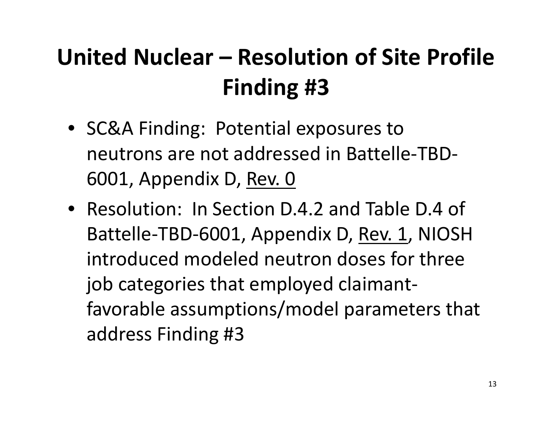- SC&A Finding: Potential exposures to neutrons are not addressed in Battelle‐TBD‐ 6001, Appendix D, Rev. 0
- Resolution: In Section D.4.2 and Table D.4 of Battelle‐TBD‐6001, Appendix D, Rev. 1, NIOSH introduced modeled neutron doses for three job categories that employed claimant‐ favorable assumptions/model parameters that address Finding #3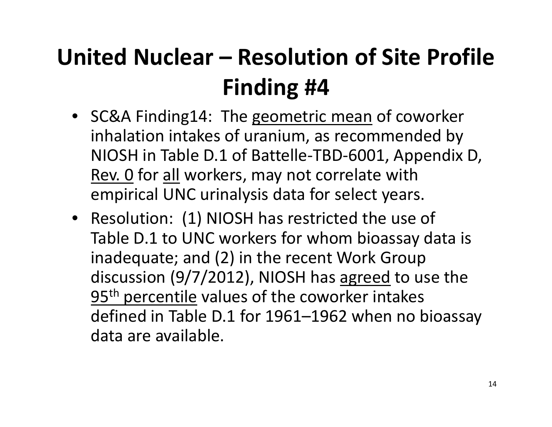- SC&A Finding14: The geometric mean of coworker inhalation intakes of uranium, as recommended by NIOSH in Table D.1 of Battelle‐TBD‐6001, Appendix D, Rev. 0 for <u>all</u> workers, may not correlate with empirical UNC urinalysis data for select years.
- Resolution: (1) NIOSH has restricted the use of Table D.1 to UNC workers for whom bioassay data is inadequate; and (2) in the recent Work Group discussion (9/7/2012), NIOSH has <u>agreed</u> to use the 95<sup>th</sup> percentile values of the coworker intakes defined in Table D.1 for 1961–1962 when no bioassay data are available.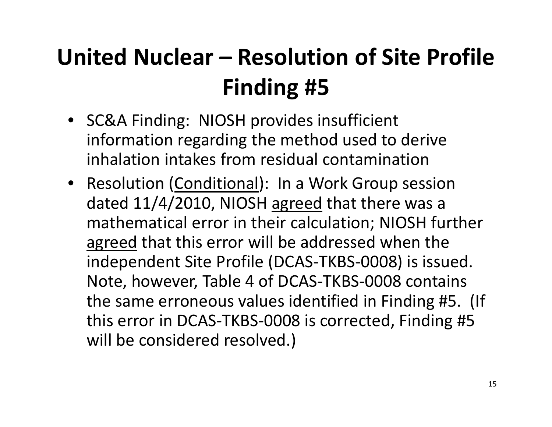- SC&A Finding: NIOSH provides insufficient information regarding the method used to derive inhalation intakes from residual contamination
- Resolution (Conditional): In a Work Group session dated 11/4/2010, NIOSH agreed that there was a mathematical error in their calculation; NIOSH further agreed that this error will be addressed when the independent Site Profile (DCAS‐TKBS‐0008) is issued. Note, however, Table 4 of DCAS‐TKBS‐0008 contains the same erroneous values identified in Finding #5. (If this error in DCAS‐TKBS‐0008 is corrected, Finding #5 will be considered resolved.)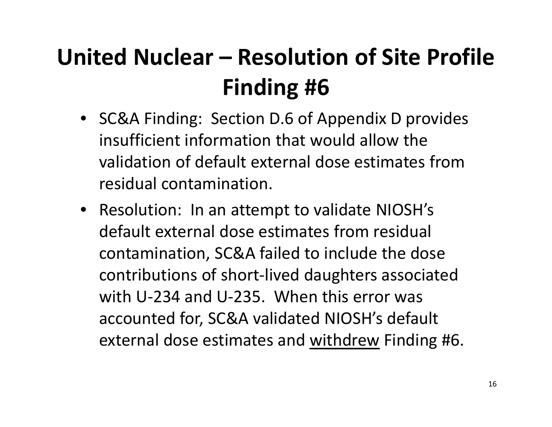- SC&A Finding: Section D.6 of Appendix D provides insufficient information that would allow the validation of default external dose estimates fromresidual contamination.
- Resolution: In an attempt to validate NIOSH's default external dose estimates from residual contamination, SC&A failed to include the dose contributions of short‐lived daughters associated with U‐234 and U‐235. When this error was accounted for, SC&A validated NIOSH's default external dose estimates and <u>withdrew</u> Finding #6.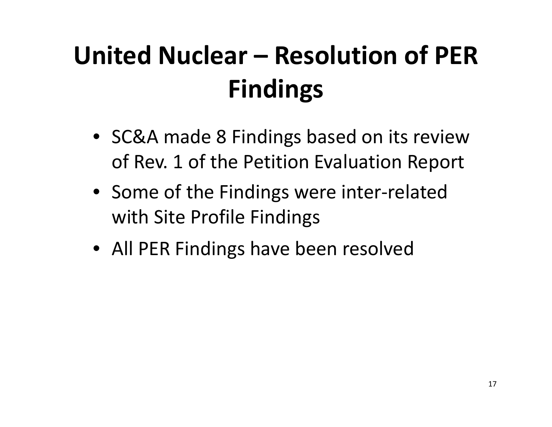## **United Nuclear – Resolution of PERFindings**

- SC&A made 8 Findings based on its review of Rev. 1 of the Petition Evaluation Report
- Some of the Findings were inter‐related with Site Profile Findings
- All PER Findings have been resolved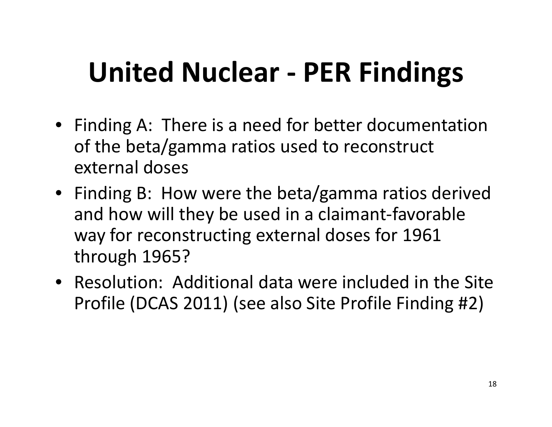# **United Nuclear ‐ PER Findings**

- Finding A: There is <sup>a</sup> need for better documentation of the beta/gamma ratios used to reconstruct external doses
- Finding B: How were the beta/gamma ratios derived and how will they be used in <sup>a</sup> claimant‐favorable way for reconstructing external doses for 1961 through 1965?
- Resolution: Additional data were included in the Site Profile (DCAS 2011) (see also Site Profile Finding #2)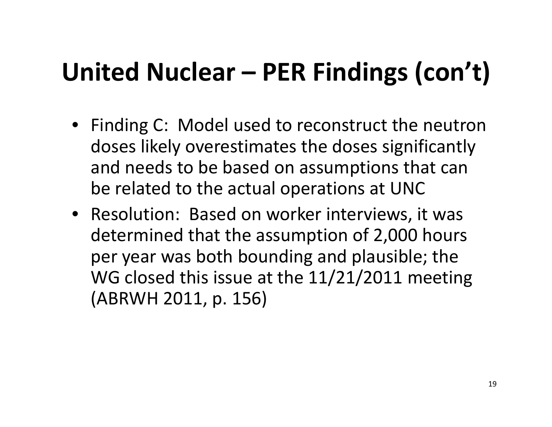- Finding C: Model used to reconstruct the neutron doses likely overestimates the doses significantly and needs to be based on assumptions that can be related to the actual operations at UNC
- Resolution: Based on worker interviews, it was determined that the assumption of 2,000 hours per year was both bounding and plausible; the WG closed this issue at the 11/21/2011 meeting (ABRWH 2011, p. 156)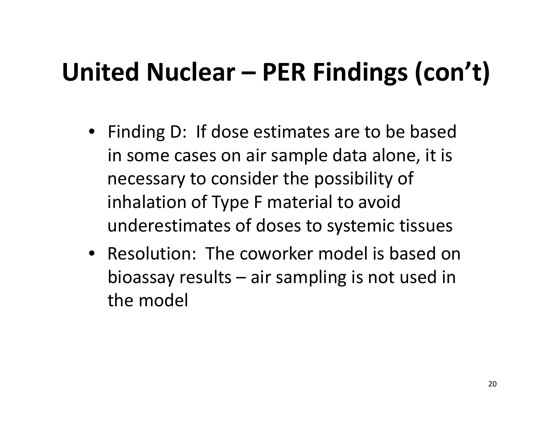- Finding D: If dose estimates are to be based in some cases on air sample data alone, it is necessary to consider the possibility of inhalation of Type F material to avoid underestimates of doses to systemic tissues
- Resolution: The coworker model is based on bioassay results – air sampling is not used in the model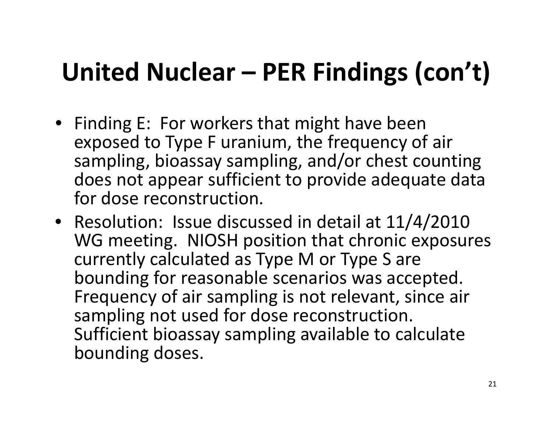- Finding E: For workers that might have been exposed to Type F uranium, the frequency of air sampling, bioassay sampling, and/or chest counting does not appear sufficient to provide adequate data for dose reconstruction.
- Resolution: Issue discussed in detail at 11/4/2010 WG meeting. NIOSH position that chronic exposures currently calculated as Type M or Type S are bounding for reasonable scenarios was accepted. Frequency of air sampling is not relevant, since air sampling not used for dose reconstruction. Sufficient bioassay sampling available to calculate bounding doses.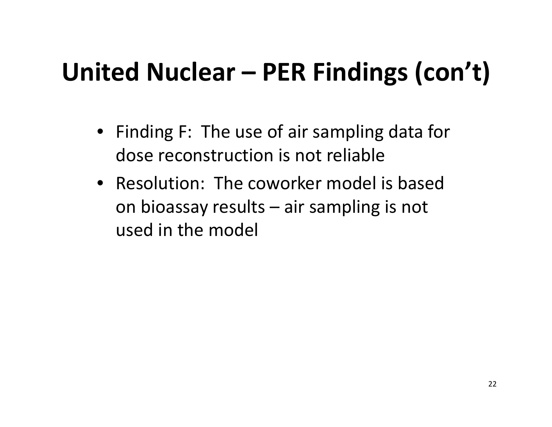- Finding F: The use of air sampling data for dose reconstruction is not reliable
- Resolution: The coworker model is basedon bioassay results – air sampling is not used in the model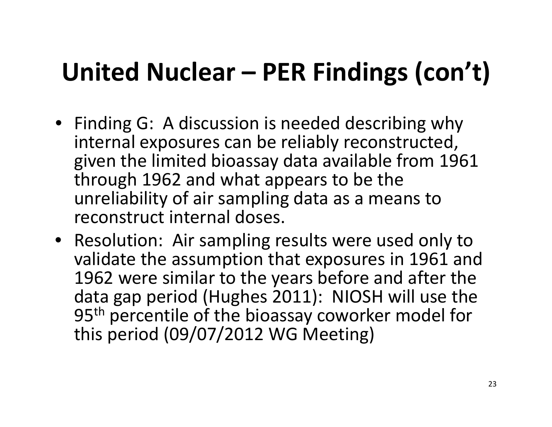- Finding G: A discussion is needed describing why internal exposures can be reliably reconstructed, given the limited bioassay data available from 1961 through 1962 and what appears to be the unreliability of air sampling data as <sup>a</sup> means to reconstruct internal doses.
- Resolution: Air sampling results were used only to validate the assumption that exposures in 1961 and 1962 were similar to the years before and after the data gap period (Hughes 2011): NIOSH will use the 95<sup>th</sup> percentile of the bioassay coworker model for this period (09/07/2012 WG Meeting)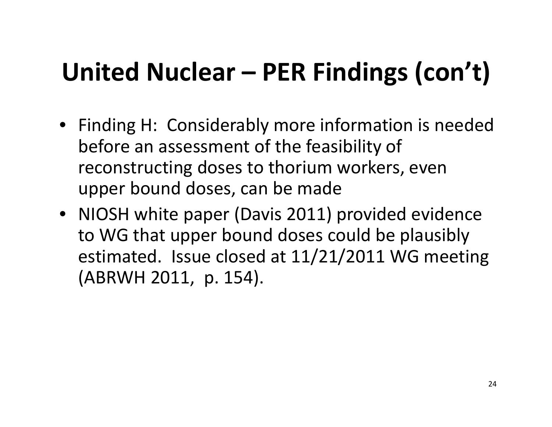- Finding H: Considerably more information is needed before an assessment of the feasibility of reconstructing doses to thorium workers, even upper bound doses, can be made
- NIOSH white paper (Davis 2011) provided evidence to WG that upper bound doses could be plausibly estimated. Issue closed at 11/21/2011 WG meeting (ABRWH 2011, p. 154).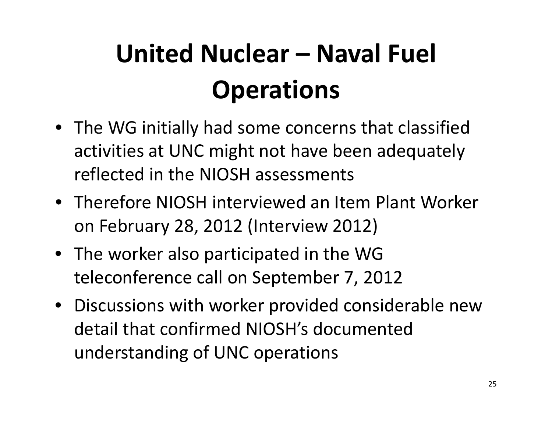# **United Nuclear – Naval Fuel Operations**

- The WG initially had some concerns that classified activities at UNC might not have been adequately reflected in the NIOSH assessments
- Therefore NIOSH interviewed an Item Plant Worker on February 28, 2012 (Interview 2012)
- The worker also participated in the WG teleconference call on September 7, 2012
- Discussions with worker provided considerable new detail that confirmed NIOSH's documented understanding of UNC operations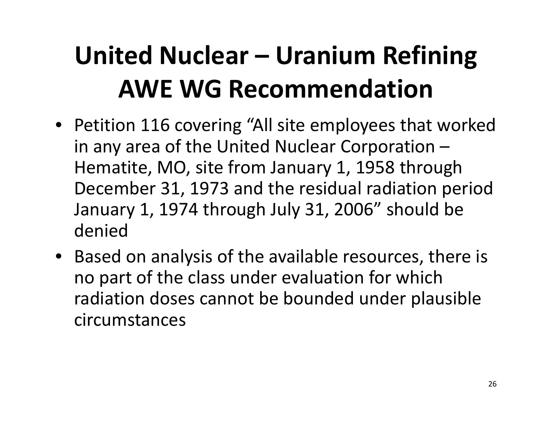### **United Nuclear – Uranium Refining AWE WG Recommendation**

- Petition 116 covering "All site employees that worked in any area of the United Nuclear Corporation – Hematite, MO, site from January 1, 1958 through December 31, 1973 and the residual radiation period January 1, 1974 through July 31, 2006" should be denied
- Based on analysis of the available resources, there is no part of the class under evaluation for which radiation doses cannot be bounded under plausible circumstances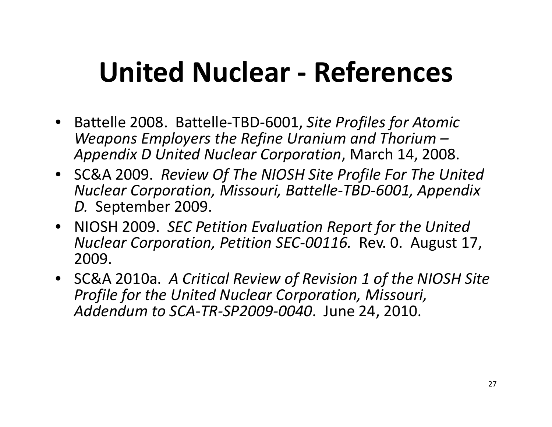## **United Nuclear ‐ References**

- Battelle 2008. Battelle‐TBD‐6001, *Site Profiles for Atomic Weapons Employers the Refine Uranium and Thorium – Appendix D United Nuclear Corporation*, March 14, 2008.
- SC&A 2009. *Review Of The NIOSH Site Profile For The United Nuclear Corporation, Missouri, Battelle‐TBD‐6001, Appendix D.* September 2009.
- NIOSH 2009. *SEC Petition Evaluation Report for the United Nuclear Corporation, Petition SEC‐00116.* Rev. 0. August 17, 2009.
- SC&A 2010a. *A Critical Review of Revision 1 of the NIOSH Site Profile for the United Nuclear Corporation, Missouri, Addendum to SCA‐TR‐SP2009‐0040*. June 24, 2010.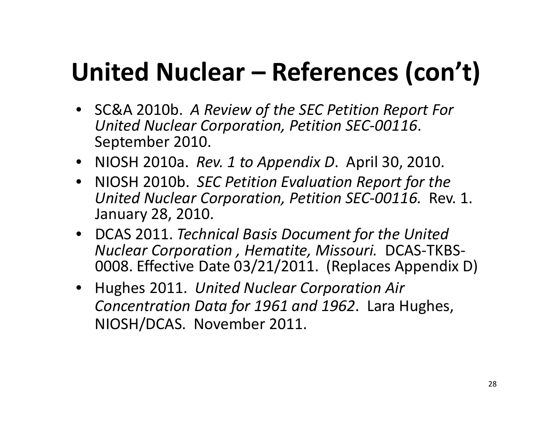### **United Nuclear – References (con't)**

- SC&A 2010b. *A Review of the SEC Petition Report For United Nuclear Corporation, Petition SEC‐00116*. September 2010.
- NIOSH 2010a. *Rev. 1 to Appendix D*. April 30, 2010.
- NIOSH 2010b. *SEC Petition Evaluation Report for the United Nuclear Corporation, Petition SEC‐00116.* Rev. 1. January 28, 2010.
- DCAS 2011. *Technical Basis Document for the United Nuclear Corporation , Hematite, Missouri.* DCAS‐TKBS‐ 0008. Effective Date 03/21/2011. (Replaces Appendix D)
- $\bullet$  Hughes 2011. *United Nuclear Corporation Air Concentration Data for 1961 and 1962*. Lara Hughes, NIOSH/DCAS. November 2011.